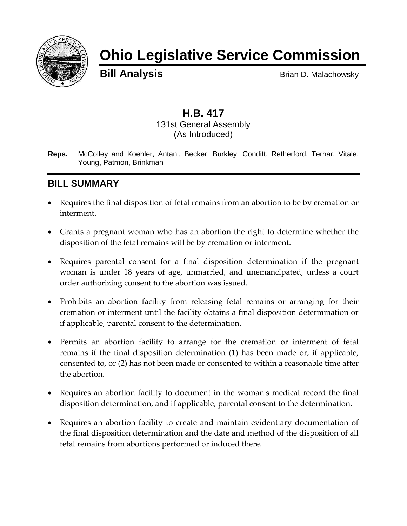

# **Ohio Legislative Service Commission**

**Bill Analysis** Brian D. Malachowsky

## **H.B. 417** 131st General Assembly (As Introduced)

**Reps.** McColley and Koehler, Antani, Becker, Burkley, Conditt, Retherford, Terhar, Vitale, Young, Patmon, Brinkman

## **BILL SUMMARY**

- Requires the final disposition of fetal remains from an abortion to be by cremation or interment.
- Grants a pregnant woman who has an abortion the right to determine whether the disposition of the fetal remains will be by cremation or interment.
- Requires parental consent for a final disposition determination if the pregnant woman is under 18 years of age, unmarried, and unemancipated, unless a court order authorizing consent to the abortion was issued.
- Prohibits an abortion facility from releasing fetal remains or arranging for their cremation or interment until the facility obtains a final disposition determination or if applicable, parental consent to the determination.
- Permits an abortion facility to arrange for the cremation or interment of fetal remains if the final disposition determination (1) has been made or, if applicable, consented to, or (2) has not been made or consented to within a reasonable time after the abortion.
- Requires an abortion facility to document in the woman's medical record the final disposition determination, and if applicable, parental consent to the determination.
- Requires an abortion facility to create and maintain evidentiary documentation of the final disposition determination and the date and method of the disposition of all fetal remains from abortions performed or induced there.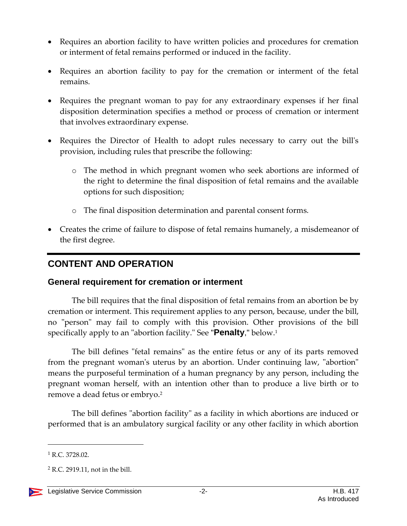- Requires an abortion facility to have written policies and procedures for cremation or interment of fetal remains performed or induced in the facility.
- Requires an abortion facility to pay for the cremation or interment of the fetal remains.
- Requires the pregnant woman to pay for any extraordinary expenses if her final disposition determination specifies a method or process of cremation or interment that involves extraordinary expense.
- Requires the Director of Health to adopt rules necessary to carry out the bill's provision, including rules that prescribe the following:
	- o The method in which pregnant women who seek abortions are informed of the right to determine the final disposition of fetal remains and the available options for such disposition;
	- o The final disposition determination and parental consent forms.
- Creates the crime of failure to dispose of fetal remains humanely, a misdemeanor of the first degree.

# **CONTENT AND OPERATION**

## **General requirement for cremation or interment**

The bill requires that the final disposition of fetal remains from an abortion be by cremation or interment. This requirement applies to any person, because, under the bill, no "person" may fail to comply with this provision. Other provisions of the bill specifically apply to an "abortion facility." See "**Penalty**," below.<sup>1</sup>

The bill defines "fetal remains" as the entire fetus or any of its parts removed from the pregnant woman's uterus by an abortion. Under continuing law, "abortion" means the purposeful termination of a human pregnancy by any person, including the pregnant woman herself, with an intention other than to produce a live birth or to remove a dead fetus or embryo.<sup>2</sup>

The bill defines "abortion facility" as a facility in which abortions are induced or performed that is an ambulatory surgical facility or any other facility in which abortion

<sup>&</sup>lt;sup>1</sup> R.C. 3728.02.

 $2$  R.C. 2919.11, not in the bill.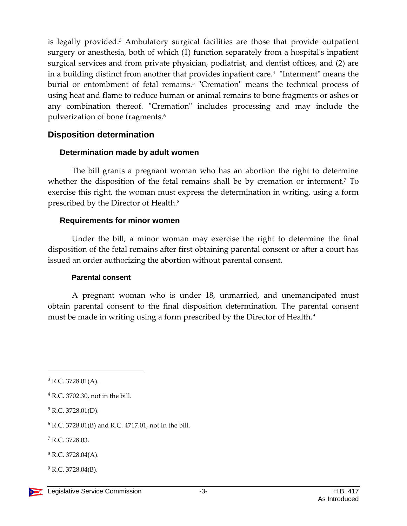is legally provided.<sup>3</sup> Ambulatory surgical facilities are those that provide outpatient surgery or anesthesia, both of which (1) function separately from a hospital's inpatient surgical services and from private physician, podiatrist, and dentist offices, and (2) are in a building distinct from another that provides inpatient care.<sup>4</sup> "Interment" means the burial or entombment of fetal remains.<sup>5</sup> "Cremation" means the technical process of using heat and flame to reduce human or animal remains to bone fragments or ashes or any combination thereof. "Cremation" includes processing and may include the pulverization of bone fragments.<sup>6</sup>

#### **Disposition determination**

#### **Determination made by adult women**

The bill grants a pregnant woman who has an abortion the right to determine whether the disposition of the fetal remains shall be by cremation or interment.<sup>7</sup> To exercise this right, the woman must express the determination in writing, using a form prescribed by the Director of Health.<sup>8</sup>

#### **Requirements for minor women**

Under the bill, a minor woman may exercise the right to determine the final disposition of the fetal remains after first obtaining parental consent or after a court has issued an order authorizing the abortion without parental consent.

#### **Parental consent**

A pregnant woman who is under 18, unmarried, and unemancipated must obtain parental consent to the final disposition determination. The parental consent must be made in writing using a form prescribed by the Director of Health.<sup>9</sup>

 $\overline{a}$ 

 $^{9}$  R.C. 3728.04(B).

 $3$  R.C. 3728.01(A).

<sup>4</sup> R.C. 3702.30, not in the bill.

 $5$  R.C. 3728.01(D).

 $6$  R.C. 3728.01(B) and R.C. 4717.01, not in the bill.

<sup>7</sup> R.C. 3728.03.

 $8$  R.C. 3728.04(A).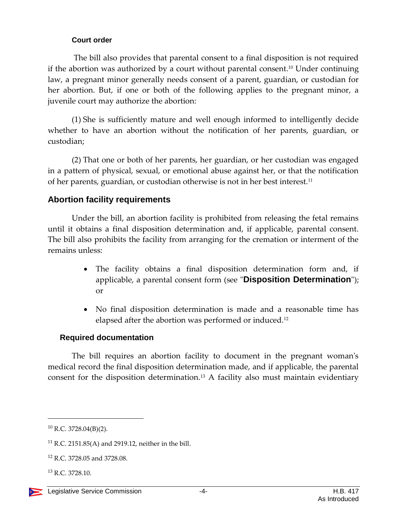#### **Court order**

The bill also provides that parental consent to a final disposition is not required if the abortion was authorized by a court without parental consent.<sup>10</sup> Under continuing law, a pregnant minor generally needs consent of a parent, guardian, or custodian for her abortion. But, if one or both of the following applies to the pregnant minor, a juvenile court may authorize the abortion:

(1) She is sufficiently mature and well enough informed to intelligently decide whether to have an abortion without the notification of her parents, guardian, or custodian;

(2) That one or both of her parents, her guardian, or her custodian was engaged in a pattern of physical, sexual, or emotional abuse against her, or that the notification of her parents, guardian, or custodian otherwise is not in her best interest.<sup>11</sup>

## **Abortion facility requirements**

Under the bill, an abortion facility is prohibited from releasing the fetal remains until it obtains a final disposition determination and, if applicable, parental consent. The bill also prohibits the facility from arranging for the cremation or interment of the remains unless:

- The facility obtains a final disposition determination form and, if applicable, a parental consent form (see "**Disposition Determination**"); or
- No final disposition determination is made and a reasonable time has elapsed after the abortion was performed or induced.<sup>12</sup>

## **Required documentation**

The bill requires an abortion facility to document in the pregnant woman's medical record the final disposition determination made, and if applicable, the parental consent for the disposition determination.<sup>13</sup> A facility also must maintain evidentiary

 $10$  R.C. 3728.04(B)(2).

<sup>11</sup> R.C. 2151.85(A) and 2919.12, neither in the bill.

<sup>12</sup> R.C. 3728.05 and 3728.08.

<sup>13</sup> R.C. 3728.10.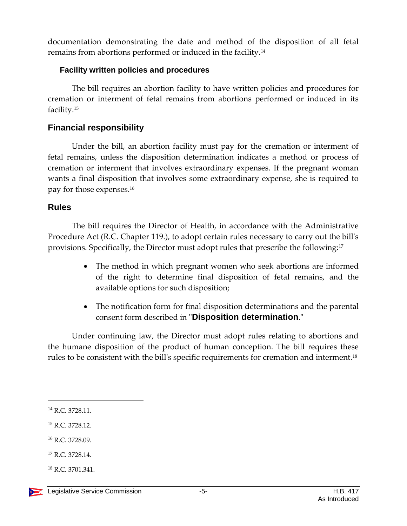documentation demonstrating the date and method of the disposition of all fetal remains from abortions performed or induced in the facility.<sup>14</sup>

#### **Facility written policies and procedures**

The bill requires an abortion facility to have written policies and procedures for cremation or interment of fetal remains from abortions performed or induced in its facility.<sup>15</sup>

## **Financial responsibility**

Under the bill, an abortion facility must pay for the cremation or interment of fetal remains, unless the disposition determination indicates a method or process of cremation or interment that involves extraordinary expenses. If the pregnant woman wants a final disposition that involves some extraordinary expense, she is required to pay for those expenses.<sup>16</sup>

## **Rules**

The bill requires the Director of Health, in accordance with the Administrative Procedure Act (R.C. Chapter 119.), to adopt certain rules necessary to carry out the bill's provisions. Specifically, the Director must adopt rules that prescribe the following:<sup>17</sup>

- The method in which pregnant women who seek abortions are informed of the right to determine final disposition of fetal remains, and the available options for such disposition;
- The notification form for final disposition determinations and the parental consent form described in "**Disposition determination**."

Under continuing law, the Director must adopt rules relating to abortions and the humane disposition of the product of human conception. The bill requires these rules to be consistent with the bill's specific requirements for cremation and interment.<sup>18</sup>

<sup>14</sup> R.C. 3728.11.

<sup>15</sup> R.C. 3728.12.

<sup>16</sup> R.C. 3728.09.

<sup>&</sup>lt;sup>17</sup> R.C. 3728.14.

<sup>18</sup> R.C. 3701.341.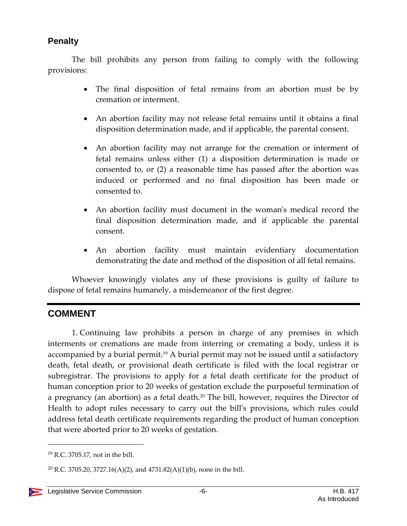## **Penalty**

The bill prohibits any person from failing to comply with the following provisions:

- The final disposition of fetal remains from an abortion must be by cremation or interment.
- An abortion facility may not release fetal remains until it obtains a final disposition determination made, and if applicable, the parental consent.
- An abortion facility may not arrange for the cremation or interment of fetal remains unless either (1) a disposition determination is made or consented to, or (2) a reasonable time has passed after the abortion was induced or performed and no final disposition has been made or consented to.
- An abortion facility must document in the woman's medical record the final disposition determination made, and if applicable the parental consent.
- An abortion facility must maintain evidentiary documentation demonstrating the date and method of the disposition of all fetal remains.

Whoever knowingly violates any of these provisions is guilty of failure to dispose of fetal remains humanely, a misdemeanor of the first degree.

## **COMMENT**

1. Continuing law prohibits a person in charge of any premises in which interments or cremations are made from interring or cremating a body, unless it is accompanied by a burial permit.<sup>19</sup> A burial permit may not be issued until a satisfactory death, fetal death, or provisional death certificate is filed with the local registrar or subregistrar. The provisions to apply for a fetal death certificate for the product of human conception prior to 20 weeks of gestation exclude the purposeful termination of a pregnancy (an abortion) as a fetal death.<sup>20</sup> The bill, however, requires the Director of Health to adopt rules necessary to carry out the bill's provisions, which rules could address fetal death certificate requirements regarding the product of human conception that were aborted prior to 20 weeks of gestation.

<sup>19</sup> R.C. 3705.17, not in the bill.

<sup>&</sup>lt;sup>20</sup> R.C. 3705.20, 3727.16(A)(2), and 4731.82(A)(1)(b), none in the bill.